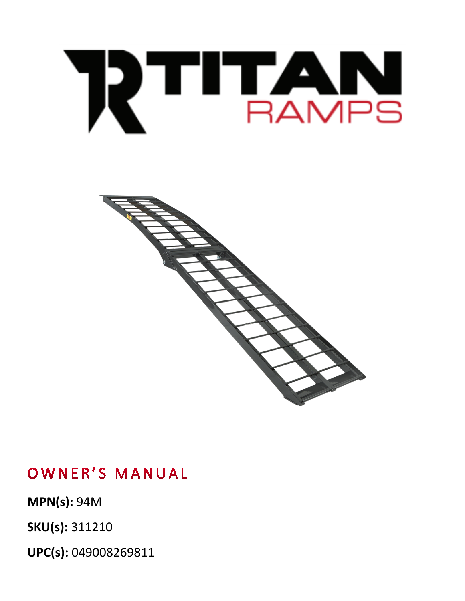**UPC(s):** 049008269811

**MPN(s):** 94M

**SKU(s):** 311210

OWNER'S MANUAL



# RTHAMPS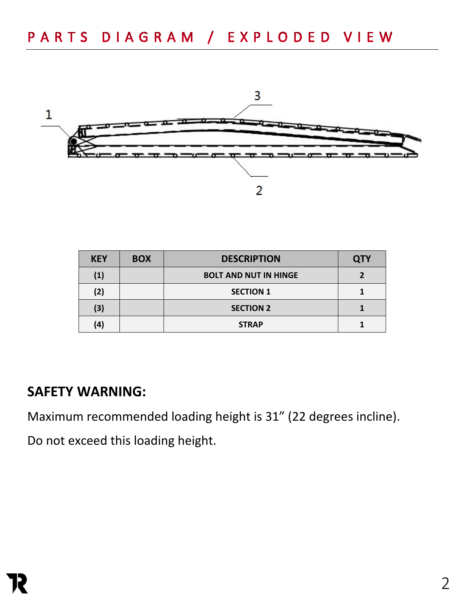

| <b>KEY</b> | <b>BOX</b> | <b>DESCRIPTION</b>           | <b>QTY</b> |
|------------|------------|------------------------------|------------|
| (1)        |            | <b>BOLT AND NUT IN HINGE</b> |            |
| (2)        |            | <b>SECTION 1</b>             |            |
| (3)        |            | <b>SECTION 2</b>             |            |
| (4)        |            | <b>STRAP</b>                 |            |

#### **SAFETY WARNING:**

Maximum recommended loading height is 31" (22 degrees incline).

Do not exceed this loading height.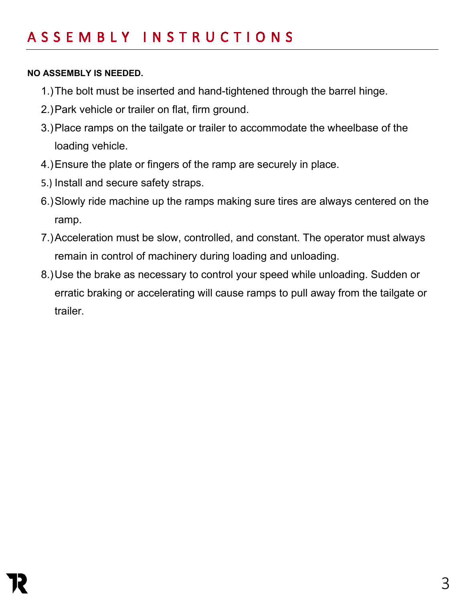#### **NO ASSEMBLY IS NEEDED.**

- 1.)The bolt must be inserted and hand-tightened through the barrel hinge.
- 2.)Park vehicle or trailer on flat, firm ground.
- 3.)Place ramps on the tailgate or trailer to accommodate the wheelbase of the loading vehicle.
- 4.)Ensure the plate or fingers of the ramp are securely in place.
- 5.) Install and secure safety straps.
- 6.)Slowly ride machine up the ramps making sure tires are always centered on the ramp.
- 7.)Acceleration must be slow, controlled, and constant. The operator must always remain in control of machinery during loading and unloading.
- 8.)Use the brake as necessary to control your speed while unloading. Sudden or erratic braking or accelerating will cause ramps to pull away from the tailgate or trailer.